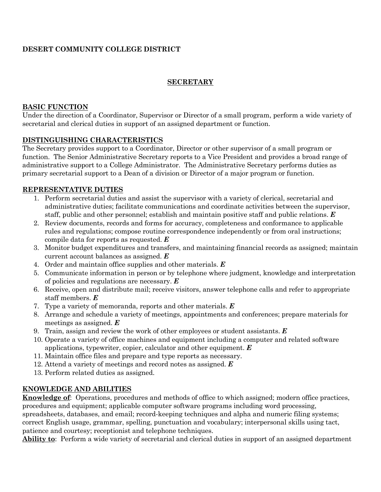# **DESERT COMMUNITY COLLEGE DISTRICT**

## **SECRETARY**

#### **BASIC FUNCTION**

Under the direction of a Coordinator, Supervisor or Director of a small program, perform a wide variety of secretarial and clerical duties in support of an assigned department or function.

#### **DISTINGUISHING CHARACTERISTICS**

The Secretary provides support to a Coordinator, Director or other supervisor of a small program or function. The Senior Administrative Secretary reports to a Vice President and provides a broad range of administrative support to a College Administrator. The Administrative Secretary performs duties as primary secretarial support to a Dean of a division or Director of a major program or function.

## **REPRESENTATIVE DUTIES**

- 1. Perform secretarial duties and assist the supervisor with a variety of clerical, secretarial and administrative duties; facilitate communications and coordinate activities between the supervisor, staff, public and other personnel; establish and maintain positive staff and public relations. *E*
- 2. Review documents, records and forms for accuracy, completeness and conformance to applicable rules and regulations; compose routine correspondence independently or from oral instructions; compile data for reports as requested. *E*
- 3. Monitor budget expenditures and transfers, and maintaining financial records as assigned; maintain current account balances as assigned. *E*
- 4. Order and maintain office supplies and other materials. *E*
- 5. Communicate information in person or by telephone where judgment, knowledge and interpretation of policies and regulations are necessary. *E*
- 6. Receive, open and distribute mail; receive visitors, answer telephone calls and refer to appropriate staff members. *E*
- 7. Type a variety of memoranda, reports and other materials. *E*
- 8. Arrange and schedule a variety of meetings, appointments and conferences; prepare materials for meetings as assigned. *E*
- 9. Train, assign and review the work of other employees or student assistants. *E*
- 10. Operate a variety of office machines and equipment including a computer and related software applications, typewriter, copier, calculator and other equipment. *E*
- 11. Maintain office files and prepare and type reports as necessary.
- 12. Attend a variety of meetings and record notes as assigned. *E*
- 13. Perform related duties as assigned.

## **KNOWLEDGE AND ABILITIES**

**Knowledge of**: Operations, procedures and methods of office to which assigned; modern office practices, procedures and equipment; applicable computer software programs including word processing, spreadsheets, databases, and email; record-keeping techniques and alpha and numeric filing systems; correct English usage, grammar, spelling, punctuation and vocabulary; interpersonal skills using tact,

patience and courtesy; receptionist and telephone techniques.

**Ability to**: Perform a wide variety of secretarial and clerical duties in support of an assigned department